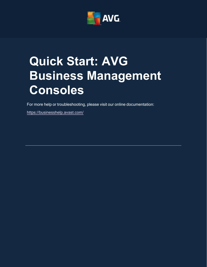

# <span id="page-0-0"></span>**Quick Start: AVG Business Management Consoles**

For more help or troubleshooting, please visit our online documentation:

<https://businesshelp.avast.com/>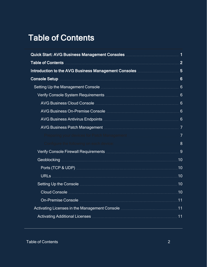# <span id="page-1-0"></span>Table of Contents

| Quick Start: AVG Business Management Consoles Manuscritt Manuscritt 1                                               |                |
|---------------------------------------------------------------------------------------------------------------------|----------------|
|                                                                                                                     |                |
| Introduction to the AVG Business Management Consoles <b>Manual Accept 19</b> 5                                      |                |
|                                                                                                                     |                |
| Setting Up the Management Console <b>Management Console Management</b> Consumer Management Console <b>6</b>         |                |
|                                                                                                                     |                |
|                                                                                                                     |                |
|                                                                                                                     |                |
|                                                                                                                     |                |
|                                                                                                                     |                |
| Preparing your devices for Patch Management [111] [11] Preparing your devices for Patch Management [11] Management  | $\overline{7}$ |
|                                                                                                                     | 8              |
|                                                                                                                     |                |
|                                                                                                                     |                |
|                                                                                                                     |                |
|                                                                                                                     |                |
| Setting Up the Console <b>Console Access 20</b> 10                                                                  |                |
|                                                                                                                     |                |
|                                                                                                                     |                |
|                                                                                                                     |                |
| Activating Additional Licenses <b>Manual Activation and Activating Additional Licenses</b> Manual Activation and 11 |                |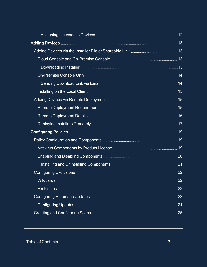| Adding Devices <b>Manual Adding Devices</b> 13                                                                                                                                                           |     |
|----------------------------------------------------------------------------------------------------------------------------------------------------------------------------------------------------------|-----|
|                                                                                                                                                                                                          |     |
|                                                                                                                                                                                                          |     |
|                                                                                                                                                                                                          |     |
|                                                                                                                                                                                                          |     |
|                                                                                                                                                                                                          |     |
| Installing on the Local Client <b>Manufacture 19 and 19</b> installing on the Local Client <b>Manufacture 19</b>                                                                                         |     |
|                                                                                                                                                                                                          |     |
|                                                                                                                                                                                                          |     |
|                                                                                                                                                                                                          |     |
|                                                                                                                                                                                                          |     |
|                                                                                                                                                                                                          |     |
|                                                                                                                                                                                                          |     |
| Antivirus Components by Product License <b>Manual Antivirus Components</b> 19                                                                                                                            |     |
|                                                                                                                                                                                                          | 20  |
| Installing and Uninstalling Components <b>Components Components Components Components Components Components Components Components Components Components Components Components Components Components </b> | .21 |
|                                                                                                                                                                                                          | .22 |
|                                                                                                                                                                                                          | 22  |
| <b>Exclusions</b>                                                                                                                                                                                        | 22  |
|                                                                                                                                                                                                          | 23  |
|                                                                                                                                                                                                          | 24  |
|                                                                                                                                                                                                          | 25  |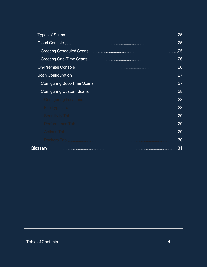|                                        | 25  |
|----------------------------------------|-----|
|                                        | 25  |
|                                        | 25  |
|                                        | 26  |
|                                        | 26  |
|                                        | 27  |
|                                        | 27  |
|                                        | .28 |
|                                        | 28  |
|                                        | 28  |
| Sensitivity Tab <b>Sensitivity</b> Tab | 29  |
| Performance Tab                        | 29  |
| Actions Tab                            | 29  |
| Packers Tab                            | 30  |
|                                        | 31  |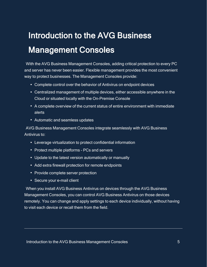# <span id="page-4-0"></span>Introduction to the AVG Business Management Consoles

With the AVG Business Management Consoles, adding critical protection to every PC and server has never been easier. Flexible management provides the most convenient way to protect businesses. The Management Consoles provide:

- Complete control over the behavior of Antivirus on endpoint devices
- Centralized management of multiple devices, either accessible anywhere in the Cloud or situated locally with the On-Premise Console
- A complete overview of the current status of entire environment with immediate alerts
- Automatic and seamless updates

AVG Business Management Consoles integrate seamlessly with AVG Business Antivirus to:

- Leverage virtualization to protect confidential information
- Protect multiple platforms PCs and servers
- Update to the latest version automatically or manually
- Add extra firewall protection for remote endpoints
- Provide complete server protection
- Secure your e-mail client

When you install AVG Business Antivirus on devices through the AVG Business Management Consoles, you can control AVG Business Antivirus on those devices remotely. You can change and apply settings to each device individually, without having to visit each device or recall them from the field.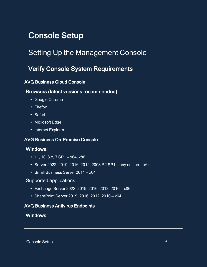# <span id="page-5-1"></span><span id="page-5-0"></span>Console Setup

# <span id="page-5-2"></span>Setting Up the Management Console

## Verify Console System Requirements

### <span id="page-5-3"></span>AVG Business Cloud Console

### Browsers (latest versions recommended):

- Google Chrome
- Firefox
- Safari
- Microsoft Edge
- <span id="page-5-4"></span>• Internet Explorer

### AVG Business On-Premise Console

### Windows:

- 11, 10, 8.x, 7 SP1  $-$  x64, x86
- Server 2022, 2019, 2016, 2012, 2008 R2 SP1 any edition  $x64$
- Small Business Server 2011 x64

### Supported applications:

- $\cdot$  Exchange Server 2022, 2019, 2016, 2013, 2010 x86
- <span id="page-5-5"></span> $\bullet$  SharePoint Server 2019, 2016, 2012, 2010 - x64

### AVG Business Antivirus Endpoints

### Windows: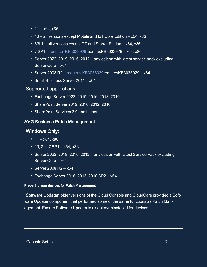- $11 x64$ ,  $x86$
- $\cdot$  10 all versions except Mobile and IoT Core Edition x64, x86
- $8/8.1$  all versions except RT and Starter Edition  $x64$ ,  $x86$
- $\cdot$  7 SP1 requires [KB3033929](AV213Reqs.htm)requiresKB3033929 x64, x86
- Server 2022, 2019, 2016, 2012 any edition with latest service pack excluding Server Core — x64
- $\cdot$  Server 2008 R2 requires [KB3033929](AV213Reqs.htm)requiresKB3033929 x64
- Small Business Server 2011 x64

### Supported applications:

- <sup>l</sup> Exchange Server 2022, 2019, 2016, 2013, 2010
- SharePoint Server 2019, 2016, 2012, 2010
- <span id="page-6-0"></span>• SharePoint Services 3.0 and higher

### AVG Business Patch Management

### Windows Only:

- $11 x64$ ,  $x86$
- $\cdot$  10, 8.x, 7 SP1  $-$  x64, x86
- Server 2022, 2019, 2016, 2012 any edition with latest Service Pack excluding Server Core — x64
- Server 2008 R2  $x64$
- <span id="page-6-1"></span> $\cdot$  Exchange Server 2016, 2013, 2010 SP2 - x64

#### Preparing your devices for Patch Management

Software Updater: older versions of the Cloud Console and CloudCare provided a Software Updater component that performed some of the same functions as Patch Management. Ensure Software Updater is disabled/uninstalled for devices.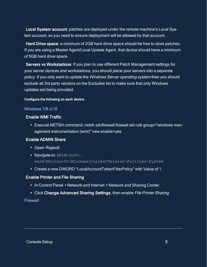Local System account: patches are deployed under the remote machine's Local System account, so you need to ensure deployment will be allowed by that account.

Hard Drive space: a minimum of 2GB hard drive space should be free to store patches. If you are using a Master Agent/Local Update Agent, that device should have a minimum of 5GB hard drive space.

Servers vs Workstations: If you plan to use different Patch Management settings for your server devices and workstations, you should place your servers into a separate policy. If you only want to update the Windows Server operating system then you should exclude all 3rd party vendors on the Excludes list to make sure that only Windows updates are being provided.

#### <span id="page-7-0"></span>Configure the following on each device:

#### Windows 7/8.x/10

#### Enable WMI Traffic

• Execute NETSH command: netsh advfirewall firewall set rule group="windows management instrumentation (wmi)" new enable=yes

#### Enable ADMIN Share

- Open Regedit
- Navigate to: HKLM\Software\Microsoft\Windows\CurrentVersion\Policies\System
- Create a new DWORD "LocalAccountTokenFilterPolicy" with Value of 1

#### Enable Printer and File Sharing

- In Control Panel ▶Network and Internet ▶Network and Sharing Center
- Click Change Advanced Sharing Settings, then enable File Printer Sharing

#### Firewall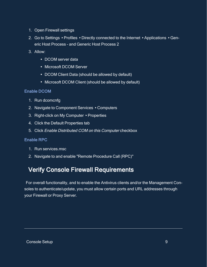- 1. Open Firewall settings
- 2. Go to Settings ▸Profiles ▸Directly connected to the Internet ▸Applications ▸Generic Host Process - and Generic Host Process 2
- 3. Allow:
	- DCOM server data
	- Microsoft DCOM Server
	- DCOM Client Data (should be allowed by default)
	- Microsoft DCOM Client (should be allowed by default)

### Enable DCOM

- 1. Run dcomcnfg
- 2. Navigate to Component Services ▸Computers
- 3. Right-click on My Computer ▸Properties
- 4. Click the Default Properties tab
- 5. Click Enable Distributed COM on this Computer checkbox

### Enable RPC

- 1. Run services.msc
- <span id="page-8-0"></span>2. Navigate to and enable "Remote Procedure Call (RPC)"

# Verify Console Firewall Requirements

For overall functionality, and to enable the Antivirus clients and/or the Management Consoles to authenticate/update, you must allow certain ports and URL addresses through your Firewall or Proxy Server.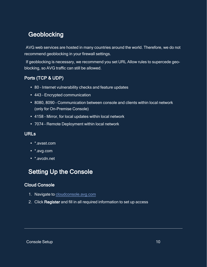## <span id="page-9-0"></span>**Geoblocking**

AVG web services are hosted in many countries around the world. Therefore, we do not recommend geoblocking in your firewall settings.

If geoblocking is necessary, we recommend you set URL Allow rules to supercede geoblocking, so AVG traffic can still be allowed.

### <span id="page-9-1"></span>Ports (TCP & UDP)

- 80 Internet vulnerability checks and feature updates
- 443 Encrypted communication
- 8080, 8090 Communication between console and clients within local network (only for On-Premise Console)
- 4158 Mirror, for local updates within local network
- <span id="page-9-2"></span>• 7074 - Remote Deployment within local network

### URLs

- \* avast.com
- \*.avg.com
- <span id="page-9-3"></span>• \*.avcdn.net

# Setting Up the Console

### <span id="page-9-4"></span>Cloud Console

- 1. Navigate to [cloudconsole.avg.com](https://cloudconsole.avg.com/)
- 2. Click Register and fill in all required information to set up access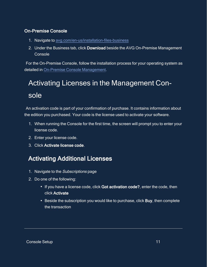### <span id="page-10-0"></span>On-Premise Console

- 1. Navigate to [avg.com/en-us/installation-files-business](https://www.avg.com/en-us/installation-files-business)
- 2. Under the Business tab, click Download beside the AVG On-Premise Management **Console**

<span id="page-10-1"></span>For the On-Premise Console, follow the installation process for your operating system as detailed in On-Premise Console [Management.](https://businesshelp.avast.com/Content/ArticleLists/AVG_ManagementConsoles/ConsoleManagement.htm)

# Activating Licenses in the Management Console

An activation code is part of your confirmation of purchase. It contains information about the edition you purchased. Your code is the license used to activate your software.

- 1. When running the Console for the first time, the screen will prompt you to enter your license code.
- 2. Enter your license code.
- <span id="page-10-2"></span>3. Click Activate license code.

# Activating Additional Licenses

- 1. Navigate to the Subscriptions page
- 2. Do one of the following:
	- If you have a license code, click Got activation code?, enter the code, then click Activate
	- Beside the subscription you would like to purchase, click Buy, then complete the transaction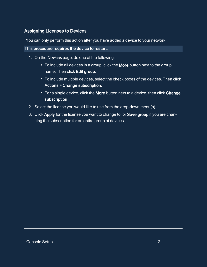### <span id="page-11-0"></span>Assigning Licenses to Devices

You can only perform this action after you have added a device to your network.

#### This procedure requires the device to restart.

- 1. On the *Devices* page, do one of the following:
	- To include all devices in a group, click the More button next to the group name. Then click Edit group.
	- To include multiple devices, select the check boxes of the devices. Then click Actions ▸Change subscription.
	- For a single device, click the More button next to a device, then click Change subscription.
- 2. Select the license you would like to use from the drop-down menu(s).
- 3. Click Apply for the license you want to change to, or Save group if you are changing the subscription for an entire group of devices.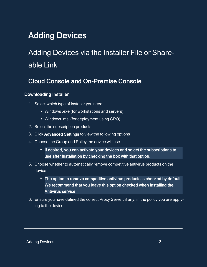# <span id="page-12-1"></span><span id="page-12-0"></span>Adding Devices

# <span id="page-12-2"></span>Adding Devices via the Installer File or Shareable Link

## Cloud Console and On-Premise Console

### <span id="page-12-3"></span>Downloading Installer

- 1. Select which type of installer you need:
	- Windows .exe (for workstations and servers)
	- Windows .msi (for deployment using GPO)
- 2. Select the subscription products
- 3. Click Advanced Settings to view the following options
- 4. Choose the Group and Policy the device will use
	- **o** If desired, you can activate your devices and select the subscriptions to use after installation by checking the box with that option.
- 5. Choose whether to automatically remove competitive antivirus products on the device
	- **<sup>o</sup>** The option to remove competitive antivirus products is checked by default. We recommend that you leave this option checked when installing the Antivirus service.
- 6. Ensure you have defined the correct Proxy Server, if any, in the policy you are applying to the device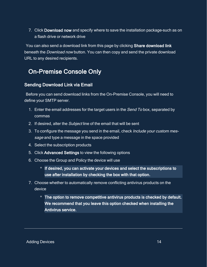7. Click Download now and specify where to save the installation package–such as on a flash drive or network drive

<span id="page-13-0"></span>You can also send a download link from this page by clicking Share download link beneath the Download now button. You can then copy and send the private download URL to any desired recipients.

# On-Premise Console Only

### <span id="page-13-1"></span>Sending Download Link via Email

Before you can send download links from the On-Premise Console, you will need to define your SMTP server.

- 1. Enter the email addresses for the target users in the Send To box, separated by commas
- 2. If desired, alter the Subject line of the email that will be sent
- 3. To configure the message you send in the email, check *Include your custom mes*sage and type a message in the space provided
- 4. Select the subscription products
- 5. Click Advanced Settings to view the following options
- 6. Choose the Group and Policy the device will use
	- **o** If desired, you can activate your devices and select the subscriptions to use after installation by checking the box with that option.
- 7. Choose whether to automatically remove conflicting antivirus products on the device
	- **<sup>o</sup>** The option to remove competitive antivirus products is checked by default. We recommend that you leave this option checked when installing the Antivirus service.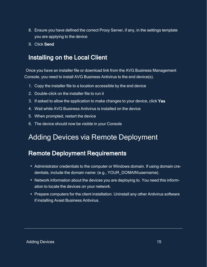- 8. Ensure you have defined the correct Proxy Server, if any, in the settings template you are applying to the device
- <span id="page-14-0"></span>9. Click Send

## Installing on the Local Client

Once you have an installer file or download link from the AVG Business Management Console, you need to install AVG Business Antivirus to the end device(s).

- 1. Copy the installer file to a location accessible by the end device
- 2. Double-click on the installer file to run it
- 3. If asked to allow the application to make changes to your device, click Yes
- 4. Wait while AVG Business Antivirus is installed on the device
- 5. When prompted, restart the device
- <span id="page-14-1"></span>6. The device should now be visible in your Console

# <span id="page-14-2"></span>Adding Devices via Remote Deployment

## Remote Deployment Requirements

- Administrator credentials to the computer or Windows domain. If using domain credentials, include the domain name: (e.g., YOUR\_DOMAIN\username).
- Network information about the devices you are deploying to. You need this information to locate the devices on your network.
- Prepare computers for the client installation. Uninstall any other Antivirus software if installing Avast Business Antivirus.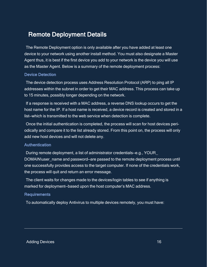### <span id="page-15-0"></span>Remote Deployment Details

The Remote Deployment option is only available after you have added at least one device to your network using another install method. You must also designate a Master Agent thus, it is best if the first device you add to your network is the device you will use as the Master Agent. Below is a summary of the remote deployment process:

#### Device Detection

The device detection process uses Address Resolution Protocol (ARP) to ping all IP addresses within the subnet in order to get their MAC address. This process can take up to 15 minutes, possibly longer depending on the network.

If a response is received with a MAC address, a reverse DNS lookup occurs to get the host name for the IP. If a host name is received, a device record is created and stored in a list—which is transmitted to the web service when detection is complete.

Once the initial authentication is completed, the process will scan for host devices periodically and compare it to the list already stored. From this point on, the process will only add new host devices and will not delete any.

#### **Authentication**

During remote deployment, a list of administrator credentials—e.g., YOUR\_ DOMAIN\user\_name and password—are passed to the remote deployment process until one successfully provides access to the target computer. If none of the credentials work, the process will quit and return an error message.

The client waits for changes made to the devices/login tables to see if anything is marked for deployment—based upon the host computer's MAC address.

#### Requirements

To automatically deploy Antivirus to multiple devices remotely, you must have: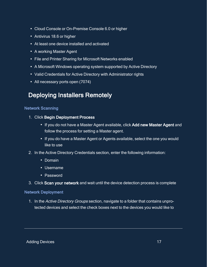- Cloud Console or On-Premise Console 6.0 or higher
- Antivirus 18.6 or higher
- At least one device installed and activated
- A working Master Agent
- File and Printer Sharing for Microsoft Networks enabled
- A Microsoft Windows operating system supported by Active Directory
- Valid Credentials for Active Directory with Administrator rights
- <span id="page-16-0"></span>• All necessary ports open (7074)

## Deploying Installers Remotely

### Network Scanning

- 1. Click Begin Deployment Process
	- If you do not have a Master Agent available, click Add new Master Agent and follow the process for setting a Master agent.
	- If you do have a Master Agent or Agents available, select the one you would like to use
- 2. In the Active Directory Credentials section, enter the following information:
	- Domain
	- Username
	- Password
- 3. Click Scan your network and wait until the device detection process is complete

### Network Deployment

1. In the Active Directory Groups section, navigate to a folder that contains unprotected devices and select the check boxes next to the devices you would like to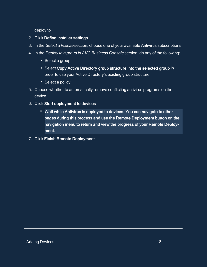deploy to

- 2. Click Define installer settings
- 3. In the Select <sup>a</sup> license section, choose one of your available Antivirus subscriptions
- 4. In the Deploy to a group in AVG Business Console section, do any of the following:
	- Select a group
	- Select Copy Active Directory group structure into the selected group in order to use your Active Directory's existing group structure
	- Select a policy
- 5. Choose whether to automatically remove conflicting antivirus programs on the device
- 6. Click Start deployment to devices
	- **<sup>o</sup>** Wait while Antivirus is deployed to devices. You can navigate to other pages during this process and use the Remote Deployment button on the navigation menu to return and view the progress of your Remote Deployment.
- 7. Click Finish Remote Deployment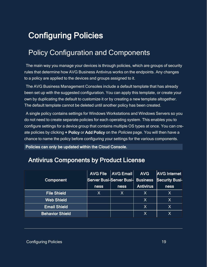# <span id="page-18-1"></span><span id="page-18-0"></span>Configuring Policies

# Policy Configuration and Components

The main way you manage your devices is through policies, which are groups of security rules that determine how AVG Business Antivirus works on the endpoints. Any changes to a policy are applied to the devices and groups assigned to it.

The AVG Business Management Consoles include a default template that has already been set up with the suggested configuration. You can apply this template, or create your own by duplicating the default to customize it or by creating a new template altogether. The default template cannot be deleted until another policy has been created.

A single policy contains settings for Windows Workstations and Windows Servers so you do not need to create separate policies for each operating system. This enables you to configure settings for a device group that contains multiple OS types at once. You can create policies by clicking + Policy or Add Policy on the Policies page. You will then have a chance to name the policy before configuring your settings for the various components.

<span id="page-18-2"></span>Policies can only be updated within the Cloud Console.

## Antivirus Components by Product License

|                        | <b>AVG File</b> | <b>AVG Email</b>         | <b>AVG</b>       | <b>AVG Internet</b>   |
|------------------------|-----------------|--------------------------|------------------|-----------------------|
| Component              |                 | Server Busi-Server Busi- | <b>Business</b>  | <b>Security Busi-</b> |
|                        | <b>ness</b>     | ness                     | <b>Antivirus</b> | <b>ness</b>           |
| <b>File Shield</b>     | X               | X                        | 'X               | Χ                     |
| <b>Web Shield</b>      |                 |                          | <b>X</b>         | Χ                     |
| <b>Email Shield</b>    |                 |                          | X                | X                     |
| <b>Behavior Shield</b> |                 |                          | <b>X</b>         |                       |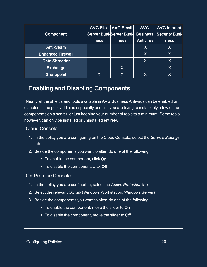|                          | <b>AVG File</b> | <b>AVG Email</b>         | <b>AVG</b>       | <b>AVG Internet</b>   |
|--------------------------|-----------------|--------------------------|------------------|-----------------------|
| <b>Component</b>         |                 | Server Busi-Server Busi- | <b>Business</b>  | <b>Security Busi-</b> |
|                          | <b>ness</b>     | <b>ness</b>              | <b>Antivirus</b> | <b>ness</b>           |
| Anti-Spam                |                 |                          | Χ                | Χ                     |
| <b>Enhanced Firewall</b> |                 |                          | $\sf X$          | IX                    |
| <b>Data Shredder</b>     |                 |                          | X                | IХ                    |
| <b>Exchange</b>          |                 | X                        |                  | Χ                     |
| <b>Sharepoint</b>        | X               | Χ                        | Х                | Χ                     |

## <span id="page-19-0"></span>Enabling and Disabling Components

Nearly all the shields and tools available in AVG Business Antivirus can be enabled or disabled in the policy. This is especially useful if you are trying to install only a few of the components on a server, or just keeping your number of tools to a minimum. Some tools, however, can only be installed or uninstalled entirely.

### Cloud Console

- 1. In the policy you are configuring on the Cloud Console, select the Service Settings tab
- 2. Beside the components you want to alter, do one of the following:
	- To enable the component, click On
	- To disable the component, click Off

### On-Premise Console

- 1. In the policy you are configuring, select the Active Protection tab
- 2. Select the relevant OS tab (Windows Workstation, Windows Server)
- 3. Beside the components you want to alter, do one of the following:
	- To enable the component, move the slider to On
	- To disable the component, move the slider to Off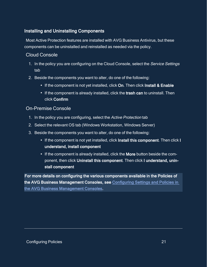### <span id="page-20-0"></span>Installing and Uninstalling Components

Most Active Protection features are installed with AVG Business Antivirus, but these components can be uninstalled and reinstalled as needed via the policy.

### Cloud Console

- 1. In the policy you are configuring on the Cloud Console, select the Service Settings tab
- 2. Beside the components you want to alter, do one of the following:
	- If the component is not yet installed, click On. Then click Install & Enable
	- If the component is already installed, click the trash can to uninstall. Then click Confirm

### On-Premise Console

- 1. In the policy you are configuring, select the Active Protection tab
- 2. Select the relevant OS tab (Windows Workstation, Windows Server)
- 3. Beside the components you want to alter, do one of the following:
	- If the component is not yet installed, click Install this component. Then click I understand, install component
	- If the component is already installed, click the More button beside the component, then click Uninstall this component. Then click I understand, uninstall component

For more details on configuring the various components available in the Policies of the AVG Business Management Consoles, see [Configuring Settings and Policies in](https://businesshelp.avast.com/Content/ArticleLists/AVG_ManagementConsoles/ConfiguringSettingsandPolicies.htm)  [the AVG Business Management Consoles.](https://businesshelp.avast.com/Content/ArticleLists/AVG_ManagementConsoles/ConfiguringSettingsandPolicies.htm)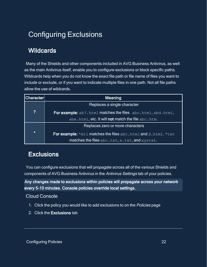# <span id="page-21-1"></span><span id="page-21-0"></span>Configuring Exclusions

# **Wildcards**

Many of the Shields and other components included in AVG Business Antivirus, as well as the main Antivirus itself, enable you to configure exclusions or block specific paths. Wildcards help when you do not know the exact file path or file name of files you want to include or exclude, or if you want to indicate multiple files in one path. Not all file paths allow the use of wildcards.

| Character        | <u>Meaning</u>                                                       |
|------------------|----------------------------------------------------------------------|
|                  | Replaces a single character                                          |
| $\boldsymbol{?}$ | <b>For example:</b> ab?.html matches the files abc.html, abd.html,   |
|                  | abe.html, etc. It will not match the file abc.htm.                   |
|                  | Replaces zero or more characters                                     |
| $\star$          | <b>For example:</b> *mtl matches the files abc.html and d.html. *txt |
|                  | matches the files abc.txt, x.txt, and xyztxt.                        |

# <span id="page-21-2"></span>**Exclusions**

You can configure exclusions that will propagate across all of the various Shields and components of AVG Business Antivirus in the Antivirus Settings tab of your policies.

Any changes made to exclusions within policies will propagate across your network every 5-10 minutes. Console policies override local settings.

### Cloud Console

- 1. Click the policy you would like to add exclusions to on the Policies page
- 2. Click the Exclusions tab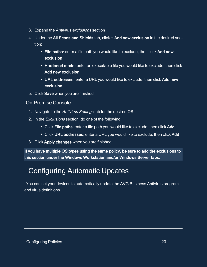- 3. Expand the Antivirus exclusions section
- 4. Under the All Scans and Shields tab, click + Add new exclusion in the desired section:
	- File paths: enter a file path you would like to exclude, then click Add new exclusion
	- Hardened mode: enter an executable file you would like to exclude, then click Add new exclusion
	- URL addresses: enter a URL you would like to exclude, then click Add new exclusion
- 5. Click Save when you are finished

### On-Premise Console

- 1. Navigate to the Antivirus Settings tab for the desired OS
- 2. In the Exclusions section, do one of the following:
	- Click File paths, enter a file path you would like to exclude, then click Add
	- Click URL addresses, enter a URL you would like to exclude, then click Add
- 3. Click Apply changes when you are finished

<span id="page-22-0"></span>If you have multiple OS types using the same policy, be sure to add the exclusions to this section under the Windows Workstation and/or Windows Server tabs.

# Configuring Automatic Updates

You can set your devices to automatically update the AVG Business Antivirus program and virus definitions.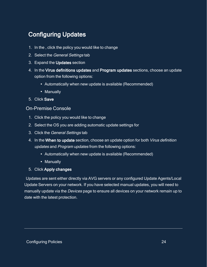# <span id="page-23-0"></span>Configuring Updates

- 1. In the , click the policy you would like to change
- 2. Select the General Settings tab
- 3. Expand the Updates section
- 4. In the Virus definitions updates and Program updates sections, choose an update option from the following options:
	- Automatically when new update is available (Recommended)
	- Manually
- 5. Click Save

### On-Premise Console

- 1. Click the policy you would like to change
- 2. Select the OS you are adding automatic update settings for
- 3. Click the General Settings tab
- 4. In the When to update section, choose an update option for both Virus definition updates and Program updates from the following options:
	- Automatically when new update is available (Recommended)
	- Manually
- 5. Click Apply changes

Updates are sent either directly via AVG servers or any configured Update Agents/Local Update Servers on your network. If you have selected manual updates, you will need to manually update via the Devices page to ensure all devices on your network remain up to date with the latest protection.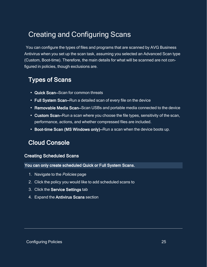# <span id="page-24-0"></span>Creating and Configuring Scans

You can configure the types of files and programs that are scanned by AVG Business Antivirus when you set up the scan task, assuming you selected an Advanced Scan type (Custom, Boot-time). Therefore, the main details for what will be scanned are not configured in policies, though exclusions are.

## <span id="page-24-1"></span>Types of Scans

- Quick Scan–Scan for common threats
- Full System Scan–Run a detailed scan of every file on the device
- Removable Media Scan–Scan USBs and portable media connected to the device
- Custom Scan–Run a scan where you choose the file types, sensitivity of the scan, performance, actions, and whether compressed files are included.
- <span id="page-24-2"></span>• Boot-time Scan (MS Windows only)–Run a scan when the device boots up.

## Cloud Console

### <span id="page-24-3"></span>Creating Scheduled Scans

You can only create scheduled Quick or Full System Scans.

- 1. Navigate to the Policies page
- 2. Click the policy you would like to add scheduled scans to
- 3. Click the Service Settings tab
- 4. Expand the Antivirus Scans section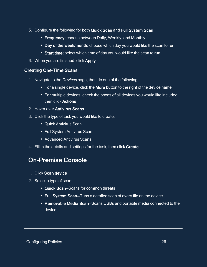- 5. Configure the following for both Quick Scan and Full System Scan:
	- Frequency: choose between Daily, Weekly, and Monthly
	- Day of the week/month: choose which day you would like the scan to run
	- Start time: select which time of day you would like the scan to run
- <span id="page-25-0"></span>6. When you are finished, click Apply

### Creating One-Time Scans

- 1. Navigate to the Devices page, then do one of the following:
	- For a single device, click the More button to the right of the device name
	- For multiple devices, check the boxes of all devices you would like included, then click Actions
- 2. Hover over Antivirus Scans
- 3. Click the type of task you would like to create:
	- Quick Antivirus Scan
	- Full System Antivirus Scan
	- Advanced Antivirus Scans
- <span id="page-25-1"></span>4. Fill in the details and settings for the task, then click Create

## On-Premise Console

- 1. Click Scan device
- 2. Select a type of scan:
	- Quick Scan–Scans for common threats
	- Full System Scan–Runs a detailed scan of every file on the device
	- Removable Media Scan–Scans USBs and portable media connected to the device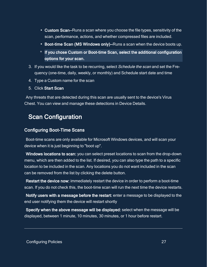- Custom Scan–Runs a scan where you choose the file types, sensitivity of the scan, performance, actions, and whether compressed files are included.
- Boot-time Scan (MS Windows only)–Runs a scan when the device boots up.
- **o** If you chose Custom or Boot-time Scan, select the additional configuration options for your scan.
- 3. If you would like the task to be recurring, select Schedule the scan and set the Frequency (one-time, daily, weekly, or monthly) and Schedule start date and time
- 4. Type a Custom name for the scan
- 5. Click Start Scan

<span id="page-26-0"></span>Any threats that are detected during this scan are usually sent to the device's Virus Chest. You can view and manage these detections in Device Details.

# Scan Configuration

### <span id="page-26-1"></span>Configuring Boot-Time Scans

Boot-time scans are only available for Microsoft Windows devices, and will scan your device when it is just beginning to "boot up".

Windows locations to scan: you can select preset locations to scan from the drop-down menu, which are then added to the list. If desired, you can also type the path to a specific location to be included in the scan. Any locations you do not want included in the scan can be removed from the list by clicking the delete button.

Restart the device now: immediately restart the device in order to perform a boot-time scan. If you do not check this, the boot-time scan will run the next time the device restarts.

Notify users with a message before the restart: enter a message to be displayed to the end user notifying them the device will restart shortly

Specify when the above message will be displayed: select when the message will be displayed, between 1 minute, 10 minutes, 30 minutes, or 1 hour before restart.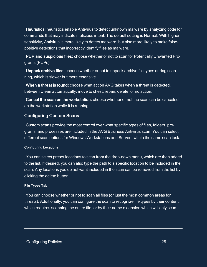Heuristics: heuristics enable Antivirus to detect unknown malware by analyzing code for commands that may indicate malicious intent. The default setting is Normal. With higher sensitivity, Antivirus is more likely to detect malware, but also more likely to make falsepositive detections that incorrectly identify files as malware.

PUP and suspicious files: choose whether or not to scan for Potentially Unwanted Programs (PUPs)

Unpack archive files: choose whether or not to unpack archive file types during scanning, which is slower but more extensive

When a threat is found: choose what action AVG takes when a threat is detected, between Clean automatically, move to chest, repair, delete, or no action.

Cancel the scan on the workstation: choose whether or not the scan can be canceled on the workstation while it is running

### <span id="page-27-0"></span>Configuring Custom Scans

Custom scans provide the most control over what specific types of files, folders, programs, and processes are included in the AVG Business Antivirus scan. You can select different scan options for Windows Workstations and Servers within the same scan task.

#### <span id="page-27-1"></span>Configuring Locations

You can select preset locations to scan from the drop-down menu, which are then added to the list. If desired, you can also type the path to a specific location to be included in the scan. Any locations you do not want included in the scan can be removed from the list by clicking the delete button.

#### <span id="page-27-2"></span>File Types Tab

You can choose whether or not to scan all files (or just the most common areas for threats). Additionally, you can configure the scan to recognize file types by their content, which requires scanning the entire file, or by their name extension which will only scan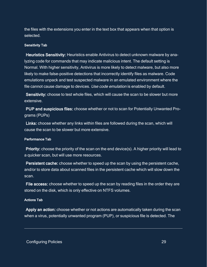the files with the extensions you enter in the text box that appears when that option is selected.

#### <span id="page-28-0"></span>Sensitivity Tab

Heuristics Sensitivity: Heuristics enable Antivirus to detect unknown malware by analyzing code for commands that may indicate malicious intent. The default setting is Normal. With higher sensitivity, Antivirus is more likely to detect malware, but also more likely to make false-positive detections that incorrectly identify files as malware. Code emulations unpack and test suspected malware in an emulated environment where the file cannot cause damage to devices. Use code emulation is enabled by default.

Sensitivity: choose to test whole files, which will cause the scan to be slower but more extensive.

PUP and suspicious files: choose whether or not to scan for Potentially Unwanted Programs (PUPs)

Links: choose whether any links within files are followed during the scan, which will cause the scan to be slower but more extensive.

#### <span id="page-28-1"></span>Performance Tab

Priority: choose the priority of the scan on the end device(s). A higher priority will lead to a quicker scan, but will use more resources.

Persistent cache: choose whether to speed up the scan by using the persistent cache, and/or to store data about scanned files in the persistent cache which will slow down the scan.

File access: choose whether to speed up the scan by reading files in the order they are stored on the disk, which is only effective on NTFS volumes.

#### <span id="page-28-2"></span>Actions Tab

Apply an action: choose whether or not actions are automatically taken during the scan when a virus, potentially unwanted program (PUP), or suspicious file is detected. The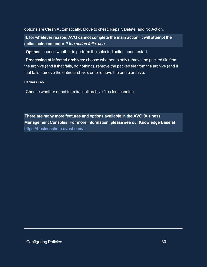options are Clean Automatically, Move to chest, Repair, Delete, and No Action.

If, for whatever reason, AVG cannot complete the main action, it will attempt the action selected under If the action fails, use

Options: choose whether to perform the selected action upon restart.

Processing of infected archives: choose whether to only remove the packed file from the archive (and if that fails, do nothing), remove the packed file from the archive (and if that fails, remove the entire archive), or to remove the entire archive.

#### <span id="page-29-0"></span>Packers Tab

Choose whether or not to extract all archive files for scanning.

There are many more features and options available in the AVG Business Management Consoles. For more information, please see our Knowledge Base at <https://businesshelp.avast.com/>.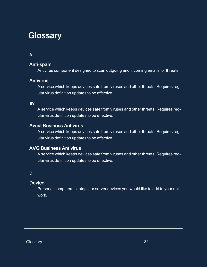# <span id="page-30-0"></span>**Glossary**

### A

### Anti-spam

Antivirus component designed to scan outgoing and incoming emails for threats.

### **Antivirus**

A service which keeps devices safe from viruses and other threats. Requires regular virus definition updates to be effective.

### av

A service which keeps devices safe from viruses and other threats. Requires regular virus definition updates to be effective.

### Avast Business Antivirus

A service which keeps devices safe from viruses and other threats. Requires regular virus definition updates to be effective.

### AVG Business Antivirus

A service which keeps devices safe from viruses and other threats. Requires regular virus definition updates to be effective.

### D

### **Device**

Personal computers, laptops, or server devices you would like to add to your network.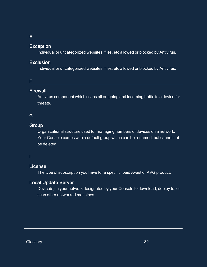### E

### Exception

Individual or uncategorized websites, files, etc allowed or blocked by Antivirus.

### Exclusion

Individual or uncategorized websites, files, etc allowed or blocked by Antivirus.

### F

### **Firewall**

Antivirus component which scans all outgoing and incoming traffic to a device for threats.

### G

### **Group**

Organizational structure used for managing numbers of devices on a network. Your Console comes with a default group which can be renamed, but cannot not be deleted.

### L

### License

The type of subscription you have for a specific, paid Avast or AVG product.

### Local Update Server

Device(s) in your network designated by your Console to download, deploy to, or scan other networked machines.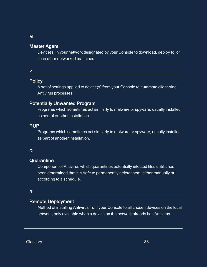### Master Agent

Device(s) in your network designated by your Console to download, deploy to, or scan other networked machines.

#### P

### **Policy**

A set of settings applied to device(s) from your Console to automate client-side Antivirus processes.

### Potentially Unwanted Program

Programs which sometimes act similarly to malware or spyware, usually installed as part of another installation.

#### PUP

Programs which sometimes act similarly to malware or spyware, usually installed as part of another installation.

#### Q

#### **Quarantine**

Component of Antivirus which quarantines potentially infected files until it has been determined that it is safe to permanently delete them, either manually or according to a schedule.

### R

### Remote Deployment

Method of installing Antivirus from your Console to all chosen devices on the local network, only available when a device on the network already has Antivirus